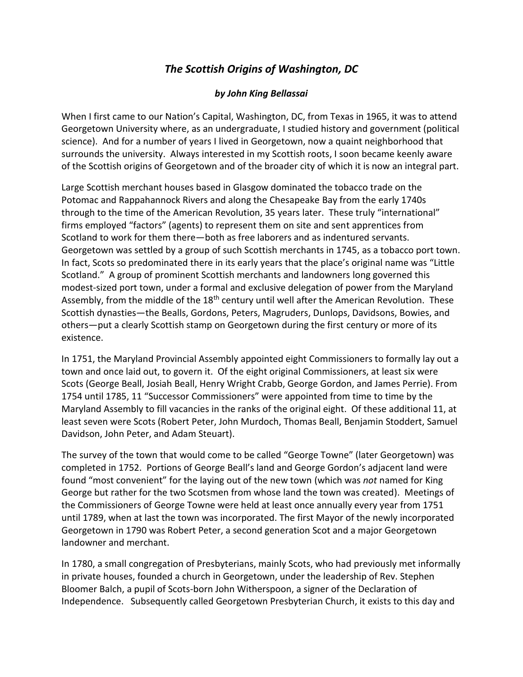## *The Scottish Origins of Washington, DC*

## *by John King Bellassai*

When I first came to our Nation's Capital, Washington, DC, from Texas in 1965, it was to attend Georgetown University where, as an undergraduate, I studied history and government (political science). And for a number of years I lived in Georgetown, now a quaint neighborhood that surrounds the university. Always interested in my Scottish roots, I soon became keenly aware of the Scottish origins of Georgetown and of the broader city of which it is now an integral part.

Large Scottish merchant houses based in Glasgow dominated the tobacco trade on the Potomac and Rappahannock Rivers and along the Chesapeake Bay from the early 1740s through to the time of the American Revolution, 35 years later. These truly "international" firms employed "factors" (agents) to represent them on site and sent apprentices from Scotland to work for them there—both as free laborers and as indentured servants. Georgetown was settled by a group of such Scottish merchants in 1745, as a tobacco port town. In fact, Scots so predominated there in its early years that the place's original name was "Little Scotland."A group of prominent Scottish merchants and landowners long governed this modest-sized port town, under a formal and exclusive delegation of power from the Maryland Assembly, from the middle of the 18<sup>th</sup> century until well after the American Revolution. These Scottish dynasties—the Bealls, Gordons, Peters, Magruders, Dunlops, Davidsons, Bowies, and others—put a clearly Scottish stamp on Georgetown during the first century or more of its existence.

In 1751, the Maryland Provincial Assembly appointed eight Commissioners to formally lay out a town and once laid out, to govern it. Of the eight original Commissioners, at least six were Scots (George Beall, Josiah Beall, Henry Wright Crabb, George Gordon, and James Perrie). From 1754 until 1785, 11 "Successor Commissioners" were appointed from time to time by the Maryland Assembly to fill vacancies in the ranks of the original eight. Of these additional 11, at least seven were Scots (Robert Peter, John Murdoch, Thomas Beall, Benjamin Stoddert, Samuel Davidson, John Peter, and Adam Steuart).

The survey of the town that would come to be called "George Towne" (later Georgetown) was completed in 1752. Portions of George Beall's land and George Gordon's adjacent land were found "most convenient" for the laying out of the new town (which was *not* named for King George but rather for the two Scotsmen from whose land the town was created). Meetings of the Commissioners of George Towne were held at least once annually every year from 1751 until 1789, when at last the town was incorporated. The first Mayor of the newly incorporated Georgetown in 1790 was Robert Peter, a second generation Scot and a major Georgetown landowner and merchant.

In 1780, a small congregation of Presbyterians, mainly Scots, who had previously met informally in private houses, founded a church in Georgetown, under the leadership of Rev. Stephen Bloomer Balch, a pupil of Scots-born John Witherspoon, a signer of the Declaration of Independence. Subsequently called Georgetown Presbyterian Church, it exists to this day and